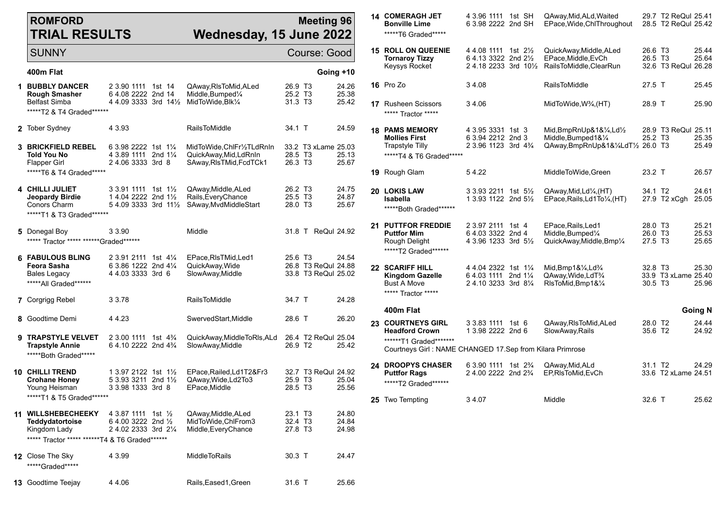## **ROMFORD TRIAL RESULTS**

## **Meeting 96 Wednesday, 15 June 2022**

| <b>SUNNY</b>                                                                                             |                                                                                                |                    |                                                                                        |                                                                   | Course: Good                               |                         |
|----------------------------------------------------------------------------------------------------------|------------------------------------------------------------------------------------------------|--------------------|----------------------------------------------------------------------------------------|-------------------------------------------------------------------|--------------------------------------------|-------------------------|
| 400m Flat                                                                                                |                                                                                                |                    |                                                                                        |                                                                   |                                            | Going +10               |
| <b>1 BUBBLY DANCER</b><br><b>Rough Smasher</b><br><b>Belfast Simba</b><br>******T2 & T4 Graded*******    | 2 3.90 1111 1st 14<br>6 4.08 2222 2nd 14<br>4 4.09 3333 3rd 14½                                |                    | QAway,RIsToMid,ALed<br>Middle, Bumped <sup>1</sup> / <sub>4</sub><br>MidToWide, Blk1/4 | 26.9 T <sub>3</sub><br>25.2 T <sub>3</sub><br>31.3 T <sub>3</sub> |                                            | 24.26<br>25.38<br>25.42 |
| 2 Tober Sydney                                                                                           | 4 3.93                                                                                         |                    | <b>RailsToMiddle</b>                                                                   | 34.1 T                                                            |                                            | 24.59                   |
| <b>3 BRICKFIELD REBEL</b><br>Told You No<br>Flapper Girl<br>*****T6 & T4 Graded*****                     | 6 3.98 2222 1st 11/4<br>4 3.89 1111<br>24.06 3333 3rd 8                                        | 2nd $1\frac{1}{4}$ | MidToWide,ChlFr1/2TLdRnIn<br>QuickAway, Mid, LdRnIn<br>SAway, RIsTMid, FcdTCk1         | 28.5 T <sub>3</sub><br>26.3 T <sub>3</sub>                        | 33.2 T3 xLame 25.03                        | 25.13<br>25.67          |
| 4 CHILLI JULIET<br>Jeopardy Birdie<br>Conors Charm<br>*****T1 & T3 Graded*******                         | 3 3.91 1111 1st 1½<br>1 4.04 2222 2nd 11/2<br>$54.0933333$ 3rd $11\frac{1}{2}$                 |                    | QAway,Middle,ALed<br>Rails, Every Chance<br>SAway, MvdMiddleStart                      | 26.2 T <sub>3</sub><br>25.5 T <sub>3</sub><br>28.0 T <sub>3</sub> |                                            | 24.75<br>24.87<br>25.67 |
| 5 Donegal Boy<br>***** Tractor ***** ******Graded******                                                  | 3 3.90                                                                                         |                    | Middle                                                                                 |                                                                   | 31.8 T ReQul 24.92                         |                         |
| <b>6 FABULOUS BLING</b><br>Feora Sasha<br><b>Bales Legacy</b><br>*****All Graded*******                  | 2 3.91 2111 1st 41/4<br>6 3.86 1222 2nd 41/4<br>4 4.03 3333 3rd 6                              |                    | EPace, RIsTMid, Led1<br>QuickAway, Wide<br>SlowAway, Middle                            | 25.6 T3                                                           | 26.8 T3 ReQul 24.88<br>33.8 T3 ReQul 25.02 | 24.54                   |
| <b>7</b> Corgrigg Rebel                                                                                  | 3 3.78                                                                                         |                    | RailsToMiddle                                                                          | 34.7 T                                                            |                                            | 24.28                   |
| 8 Goodtime Demi                                                                                          | 44.23                                                                                          |                    | SwervedStart, Middle                                                                   | 28.6 T                                                            |                                            | 26.20                   |
| 9 TRAPSTYLE VELVET<br><b>Trapstyle Annie</b><br>******Both Graded******                                  | 2 3.00 1111 1st 4 <sup>3</sup> / <sub>4</sub><br>6 4.10 2222 2nd 4 <sup>3</sup> / <sub>4</sub> |                    | QuickAway,MiddleToRls,ALd<br>SlowAway, Middle                                          | 26.9 T2                                                           | 26.4 T2 ReQul 25.04                        | 25.42                   |
| <b>10 CHILLI TREND</b><br><b>Crohane Honey</b><br>Young Heisman<br>*****T1 & T5 Graded*******            | 1 3.97 2122 1st 1½<br>5 3.93 3211 2nd 1½<br>3 3.98 1333 3rd 8                                  |                    | EPace, Railed, Ld1T2&Fr3<br>QAway, Wide, Ld2To3<br>EPace, Middle                       | 25.9 T <sub>3</sub><br>28.5 T3                                    | 32.7 T3 ReQul 24.92                        | 25.04<br>25.56          |
| 11 WILLSHEBECHEEKY<br>Teddydatortoise<br>Kingdom Lady<br>***** Tractor ***** *******T4 & T6 Graded****** | 4 3.87 1111 1st 1/2<br>6 4.00 3222 2nd $\frac{1}{2}$<br>2 4.02 2333 3rd 21/4                   |                    | QAway,Middle,ALed<br>MidToWide, ChlFrom3<br>Middle, Every Chance                       | 23.1 T <sub>3</sub><br>32.4 T <sub>3</sub><br>27.8 T <sub>3</sub> |                                            | 24.80<br>24.84<br>24.98 |
| <b>12</b> Close The Sky<br>*****Graded*****                                                              | 4 3.99                                                                                         |                    | <b>MiddleToRails</b>                                                                   | $30.3$ T                                                          |                                            | 24.47                   |
| <b>13</b> Goodtime Teejay                                                                                | 4 4.06                                                                                         |                    | Rails, Eased 1, Green                                                                  | 31.6 T                                                            |                                            | 25.66                   |

| <b>14 COMERAGH JET</b><br><b>Bonville Lime</b><br>*****T6 Graded*****                                                                     | 4 3.96 1111 1st SH<br>6 3.98 2222 2nd SH                                                |                    | QAway, Mid, ALd, Waited<br>EPace, Wide, ChlThroughout                                                  |                                            | 29.7 T2 ReQul 25.41<br>28.5 T2 ReQul 25.42 |                         |
|-------------------------------------------------------------------------------------------------------------------------------------------|-----------------------------------------------------------------------------------------|--------------------|--------------------------------------------------------------------------------------------------------|--------------------------------------------|--------------------------------------------|-------------------------|
| <b>15 ROLL ON QUEENIE</b><br><b>Tornaroy Tizzy</b><br>Keysys Rocket                                                                       | 4 4 08 1111<br>6 4.13 3322 2nd 21/2<br>24.18 2233 3rd 101/2                             | 1st $2\frac{1}{2}$ | QuickAway, Middle, ALed<br>EPace, Middle, EvCh<br>RailsToMiddle, ClearRun                              | 26.6 T3<br>26.5 T3                         | 32.6 T3 ReQul 26.28                        | 25.44<br>25.64          |
| 16 Pro Zo                                                                                                                                 | 34.08                                                                                   |                    | <b>RailsToMiddle</b>                                                                                   | 27.5 T                                     |                                            | 25.45                   |
| <b>17</b> Rusheen Scissors<br>***** Tractor *****                                                                                         | 34.06                                                                                   |                    | MidToWide, W <sup>3</sup> / <sub>4</sub> , (HT)                                                        | 28.9 T                                     |                                            | 25.90                   |
| <b>18 PAMS MEMORY</b><br><b>Mollies First</b><br><b>Trapstyle Tilly</b><br>*****T4 & T6 Graded*****                                       | 4 3.95 3331 1st 3<br>6 3.94 2212 2nd 3<br>2 3.96 1123 3rd 4 <sup>3</sup> / <sub>4</sub> |                    | Mid,BmpRnUp&1&¼,Ld½<br>Middle, Bumped1&1/4<br>QAway, BmpRnUp&1&1/4LdT1/2 26.0 T3                       | 25.2 T3                                    | 28.9 T3 ReQul 25.11                        | 25.35<br>25.49          |
| 19 Rough Glam                                                                                                                             | 54.22                                                                                   |                    | MiddleToWide, Green                                                                                    | 23.2 T                                     |                                            | 26.57                   |
| 20 LOKIS LAW<br><b>Isabella</b><br>******Both Graded*******                                                                               | 3 3.93 2211 1st 51/ <sub>2</sub><br>1 3.93 1122 2nd 51/2                                |                    | QAway, Mid, Ld <sup>1</sup> / <sub>4</sub> , (HT)<br>EPace, Rails, Ld1To1/4, (HT)                      | 34.1 T <sub>2</sub>                        | 27.9 T2 xCgh                               | 24.61<br>25.05          |
| <b>21 PUTTFOR FREDDIE</b><br><b>Puttfor Mim</b><br>Rough Delight<br>******T2 Graded*******                                                | 2 3.97 2111<br>6 4.03 3322 2nd 4<br>4 3.96 1233 3rd 51/2                                | 1st $4$            | EPace, Rails, Led1<br>Middle, Bumped <sup>1/4</sup><br>QuickAway, Middle, Bmp1/4                       | 28.0 T <sub>3</sub><br>26.0 T3<br>27.5 T3  |                                            | 25.21<br>25.53<br>25.65 |
| 22 SCARIFF HILL<br><b>Kingdom Gazelle</b><br><b>Bust A Move</b><br>***** Tractor *****                                                    | 4 4 04 2322 1st 11/4<br>6 4.03 1111 2nd 11/4<br>24.103233 3rd 81/4                      |                    | Mid, Bmp1 $\&\frac{1}{4}$ , Ld $\frac{3}{4}$<br>QAway, Wide, LdT <sup>3</sup> /4<br>RIsToMid, Bmp1&1/4 | 32.8 T <sub>3</sub><br>30.5 T <sub>3</sub> | 33.9 T3 xLame 25.40                        | 25.30<br>25.96          |
| 400m Flat                                                                                                                                 |                                                                                         |                    |                                                                                                        |                                            |                                            | <b>Going N</b>          |
| <b>23 COURTNEYS GIRL</b><br><b>Headford Crown</b><br>*******T1 Graded********<br>Courtneys Girl: NAME CHANGED 17.Sep from Kilara Primrose | 3 3.83 1111<br>1 3.98 2222 2nd 6                                                        | 1st <sub>6</sub>   | QAway, RIs To Mid, ALed<br>SlowAway, Rails                                                             | 28.0 T2<br>35.6 T <sub>2</sub>             |                                            | 24.44<br>24.92          |
| <b>24 DROOPYS CHASER</b><br><b>Puttfor Rags</b><br>******T2 Graded*******                                                                 | 6 3.90 1111<br>2 4.00 2222 2nd 2 <sup>3</sup> / <sub>4</sub>                            | 1st $2\frac{3}{4}$ | QAway, Mid, ALd<br>EP,RIsToMid,EvCh                                                                    | 31.1 T <sub>2</sub>                        | 33.6 T2 xLame 24.51                        | 24.29                   |
| 25 Two Tempting                                                                                                                           | 34.07                                                                                   |                    | Middle                                                                                                 | 32.6 T                                     |                                            | 25.62                   |